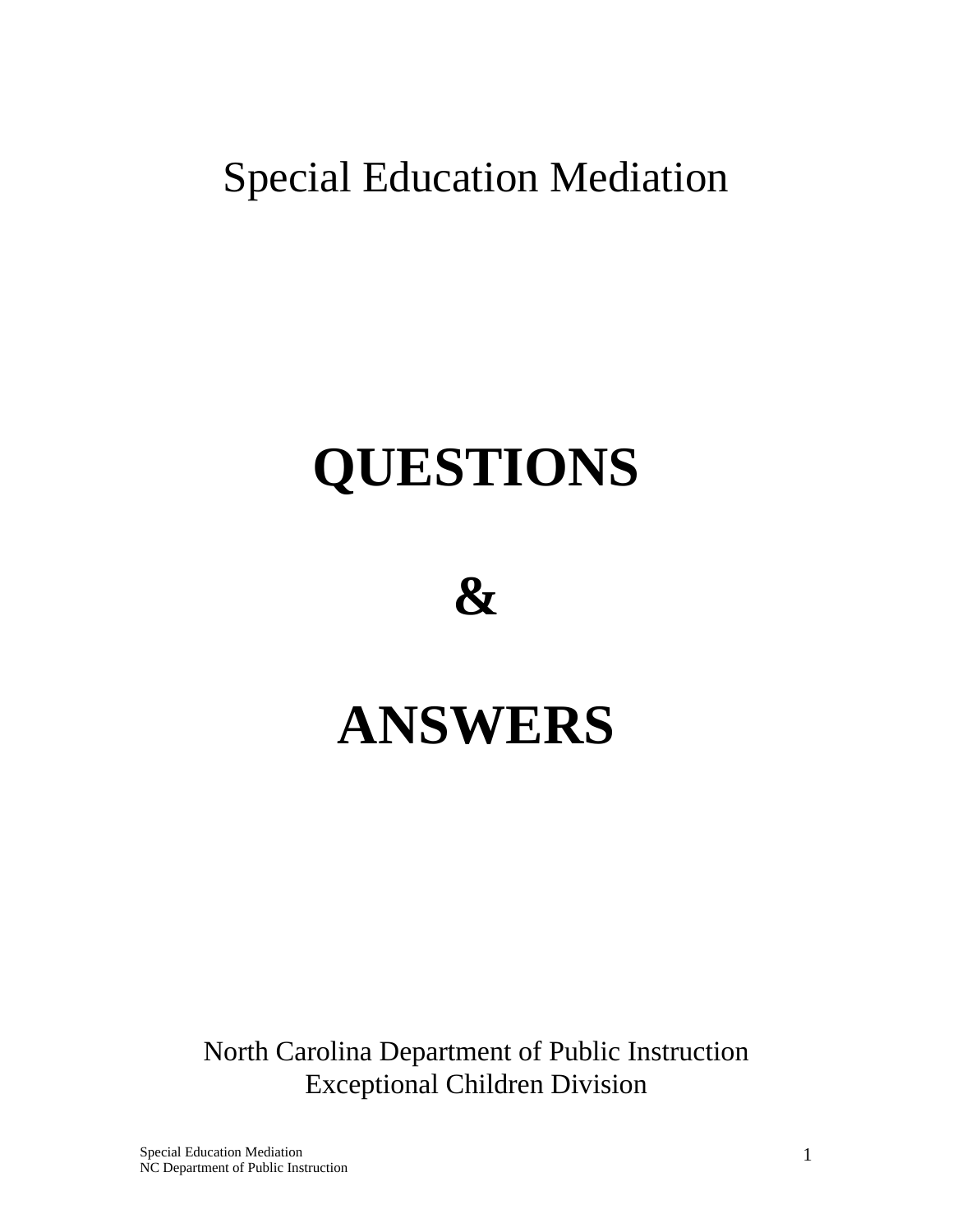Special Education Mediation

# **QUESTIONS**

**&** 

# **ANSWERS**

North Carolina Department of Public Instruction Exceptional Children Division

Special Education Mediation NC Department of Public Instruction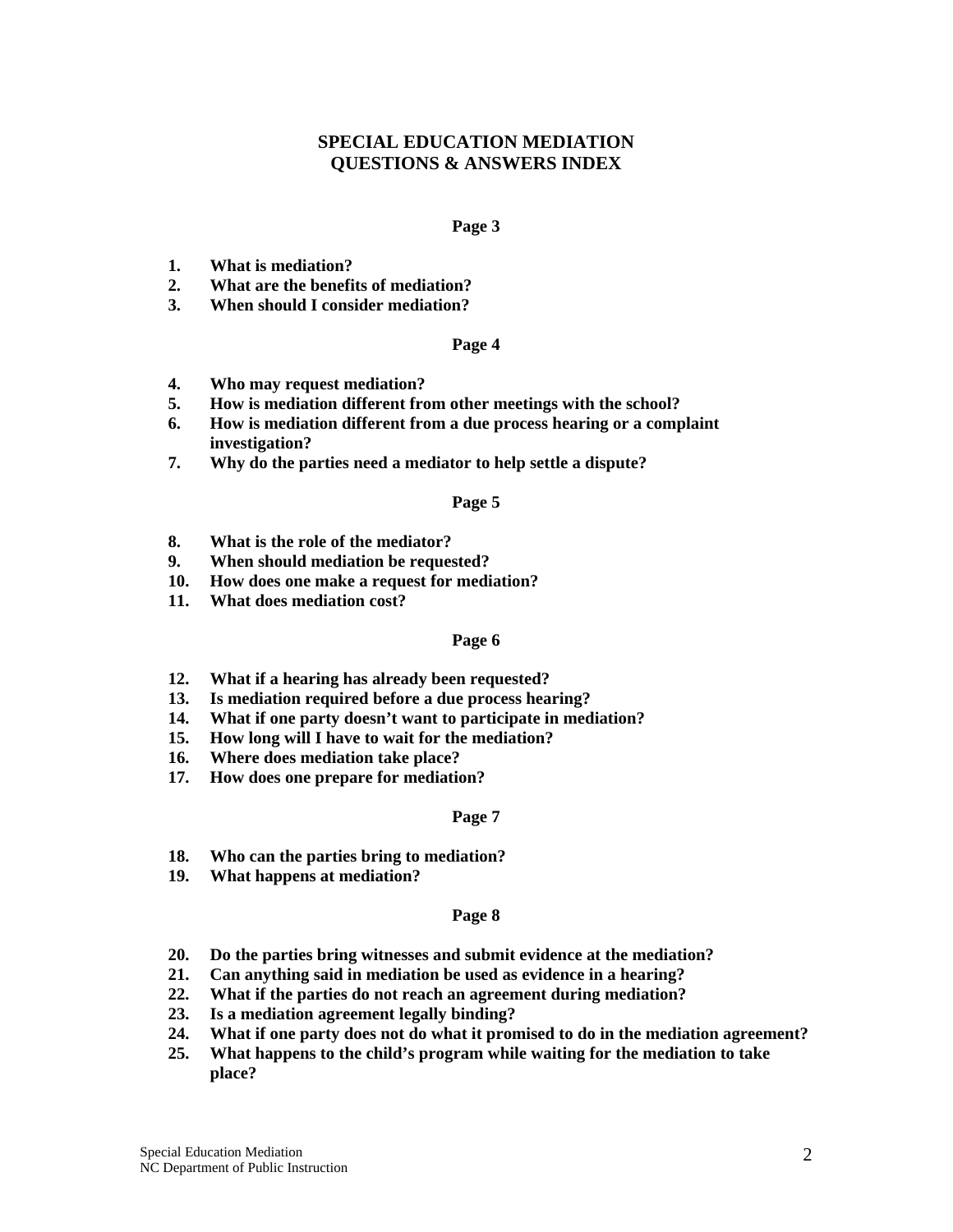# **SPECIAL EDUCATION MEDIATION QUESTIONS & ANSWERS INDEX**

#### **Page 3**

- **1. What is mediation?**
- **2. What are the benefits of mediation?**
- **3. When should I consider mediation?**

#### **Page 4**

- **4. Who may request mediation?**
- **5. How is mediation different from other meetings with the school?**
- **6. How is mediation different from a due process hearing or a complaint investigation?**
- **7. Why do the parties need a mediator to help settle a dispute?**

#### **Page 5**

- **8. What is the role of the mediator?**
- **9. When should mediation be requested?**
- **10. How does one make a request for mediation?**
- **11. What does mediation cost?**

#### **Page 6**

- **12. What if a hearing has already been requested?**
- **13. Is mediation required before a due process hearing?**
- **14. What if one party doesn't want to participate in mediation?**
- **15. How long will I have to wait for the mediation?**
- **16. Where does mediation take place?**
- **17. How does one prepare for mediation?**

#### **Page 7**

- **18. Who can the parties bring to mediation?**
- **19. What happens at mediation?**

#### **Page 8**

- **20. Do the parties bring witnesses and submit evidence at the mediation?**
- **21. Can anything said in mediation be used as evidence in a hearing?**
- **22. What if the parties do not reach an agreement during mediation?**
- **23. Is a mediation agreement legally binding?**
- **24. What if one party does not do what it promised to do in the mediation agreement?**
- **25. What happens to the child's program while waiting for the mediation to take place?**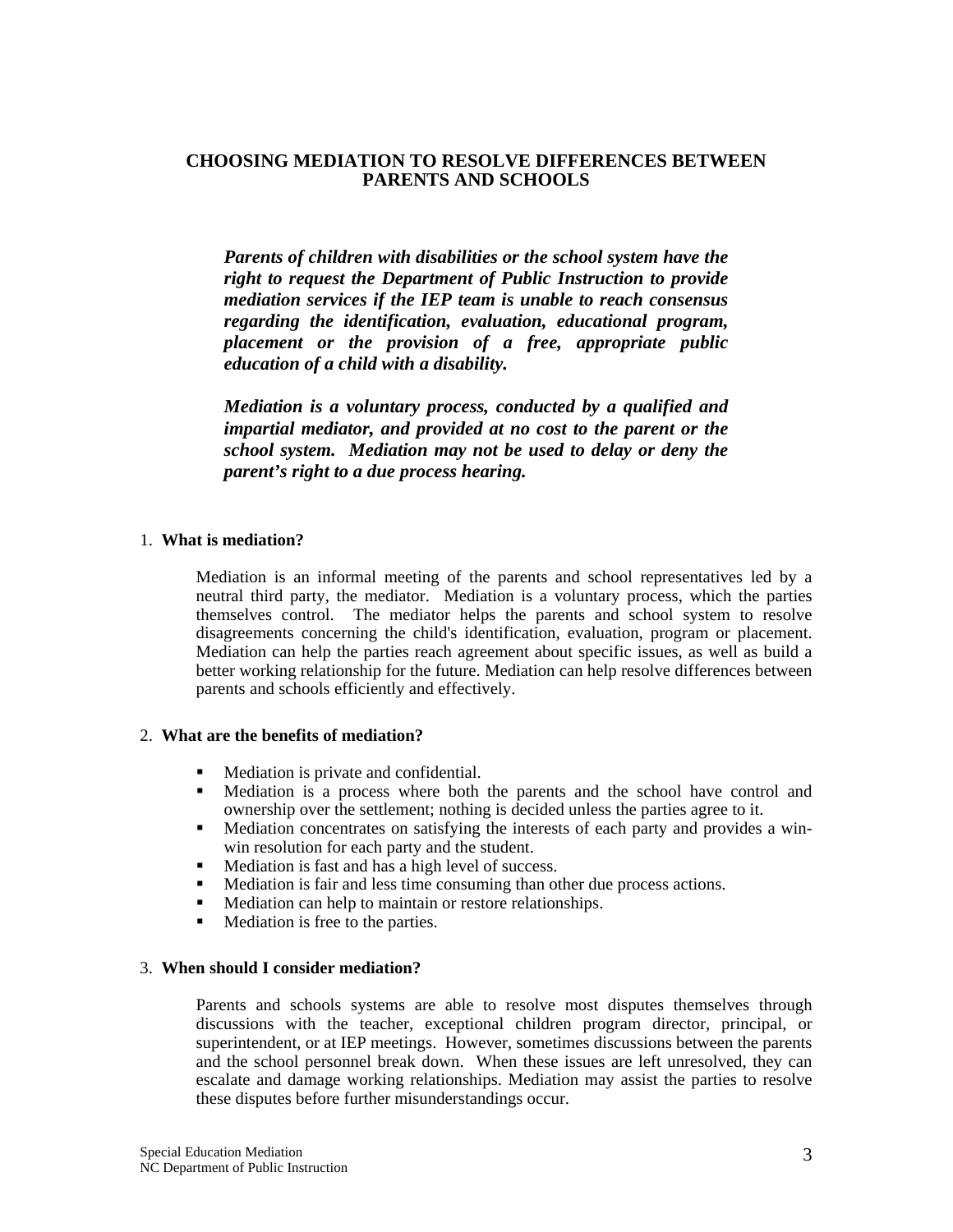# **CHOOSING MEDIATION TO RESOLVE DIFFERENCES BETWEEN PARENTS AND SCHOOLS**

*Parents of children with disabilities or the school system have the right to request the Department of Public Instruction to provide mediation services if the IEP team is unable to reach consensus regarding the identification, evaluation, educational program, placement or the provision of a free, appropriate public education of a child with a disability.* 

*Mediation is a voluntary process, conducted by a qualified and impartial mediator, and provided at no cost to the parent or the school system. Mediation may not be used to delay or deny the parent's right to a due process hearing.*

#### 1. **What is mediation?**

Mediation is an informal meeting of the parents and school representatives led by a neutral third party, the mediator. Mediation is a voluntary process, which the parties themselves control. The mediator helps the parents and school system to resolve disagreements concerning the child's identification, evaluation, program or placement. Mediation can help the parties reach agreement about specific issues, as well as build a better working relationship for the future. Mediation can help resolve differences between parents and schools efficiently and effectively.

#### 2. **What are the benefits of mediation?**

- Mediation is private and confidential.
- Mediation is a process where both the parents and the school have control and ownership over the settlement; nothing is decided unless the parties agree to it.
- Mediation concentrates on satisfying the interests of each party and provides a winwin resolution for each party and the student.
- Mediation is fast and has a high level of success.
- Mediation is fair and less time consuming than other due process actions.
- Mediation can help to maintain or restore relationships.
- **Mediation is free to the parties.**

#### 3. **When should I consider mediation?**

Parents and schools systems are able to resolve most disputes themselves through discussions with the teacher, exceptional children program director, principal, or superintendent, or at IEP meetings. However, sometimes discussions between the parents and the school personnel break down. When these issues are left unresolved, they can escalate and damage working relationships. Mediation may assist the parties to resolve these disputes before further misunderstandings occur.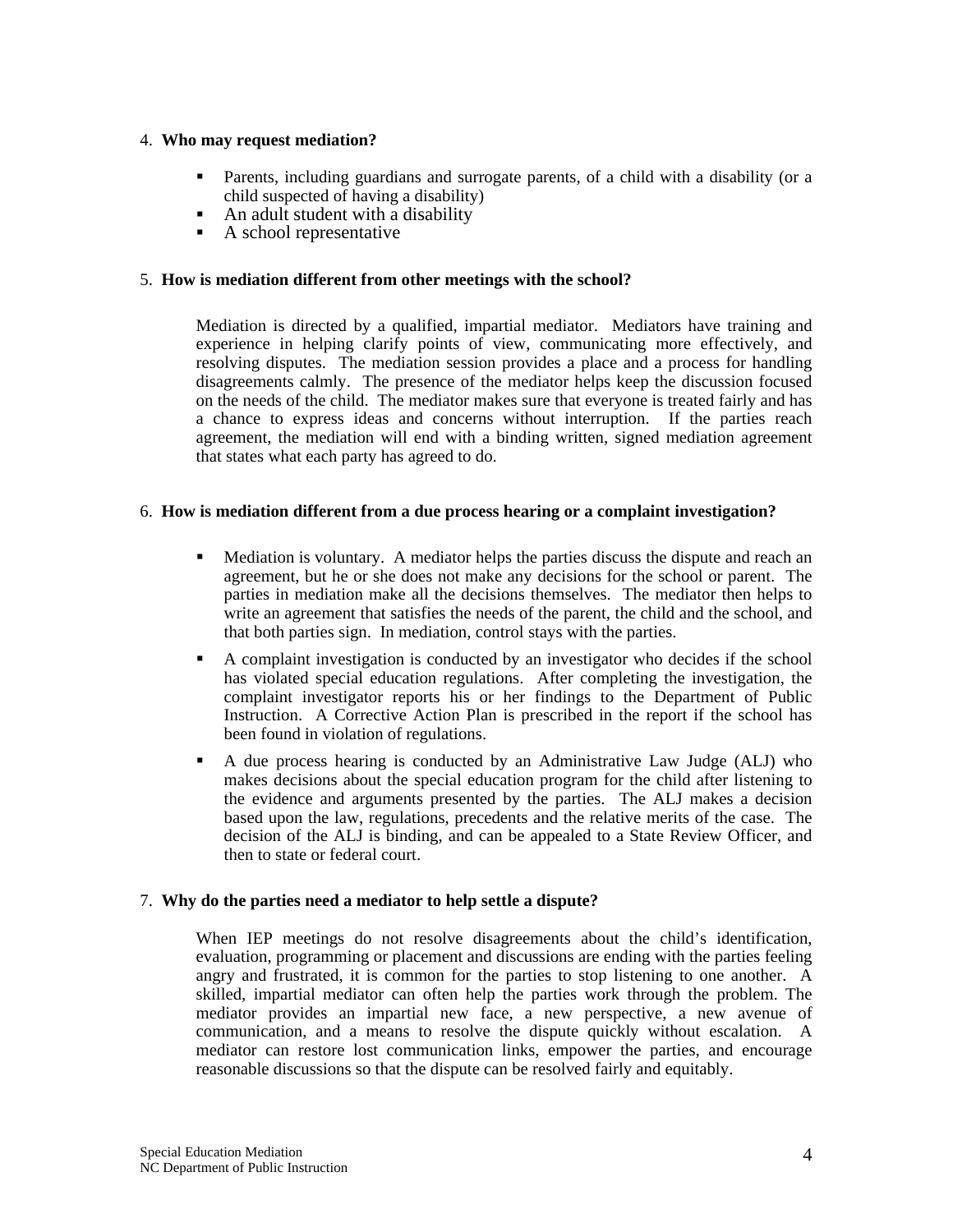### 4. **Who may request mediation?**

- Parents, including guardians and surrogate parents, of a child with a disability (or a child suspected of having a disability)
- $\blacksquare$  An adult student with a disability
- A school representative

#### 5. **How is mediation different from other meetings with the school?**

Mediation is directed by a qualified, impartial mediator. Mediators have training and experience in helping clarify points of view, communicating more effectively, and resolving disputes. The mediation session provides a place and a process for handling disagreements calmly. The presence of the mediator helps keep the discussion focused on the needs of the child. The mediator makes sure that everyone is treated fairly and has a chance to express ideas and concerns without interruption. If the parties reach agreement, the mediation will end with a binding written, signed mediation agreement that states what each party has agreed to do.

#### 6. **How is mediation different from a due process hearing or a complaint investigation?**

- Mediation is voluntary. A mediator helps the parties discuss the dispute and reach an agreement, but he or she does not make any decisions for the school or parent. The parties in mediation make all the decisions themselves. The mediator then helps to write an agreement that satisfies the needs of the parent, the child and the school, and that both parties sign. In mediation, control stays with the parties.
- A complaint investigation is conducted by an investigator who decides if the school has violated special education regulations. After completing the investigation, the complaint investigator reports his or her findings to the Department of Public Instruction. A Corrective Action Plan is prescribed in the report if the school has been found in violation of regulations.
- A due process hearing is conducted by an Administrative Law Judge (ALJ) who makes decisions about the special education program for the child after listening to the evidence and arguments presented by the parties. The ALJ makes a decision based upon the law, regulations, precedents and the relative merits of the case. The decision of the ALJ is binding, and can be appealed to a State Review Officer, and then to state or federal court.

# 7. **Why do the parties need a mediator to help settle a dispute?**

When IEP meetings do not resolve disagreements about the child's identification, evaluation, programming or placement and discussions are ending with the parties feeling angry and frustrated, it is common for the parties to stop listening to one another. A skilled, impartial mediator can often help the parties work through the problem. The mediator provides an impartial new face, a new perspective, a new avenue of communication, and a means to resolve the dispute quickly without escalation. A mediator can restore lost communication links, empower the parties, and encourage reasonable discussions so that the dispute can be resolved fairly and equitably.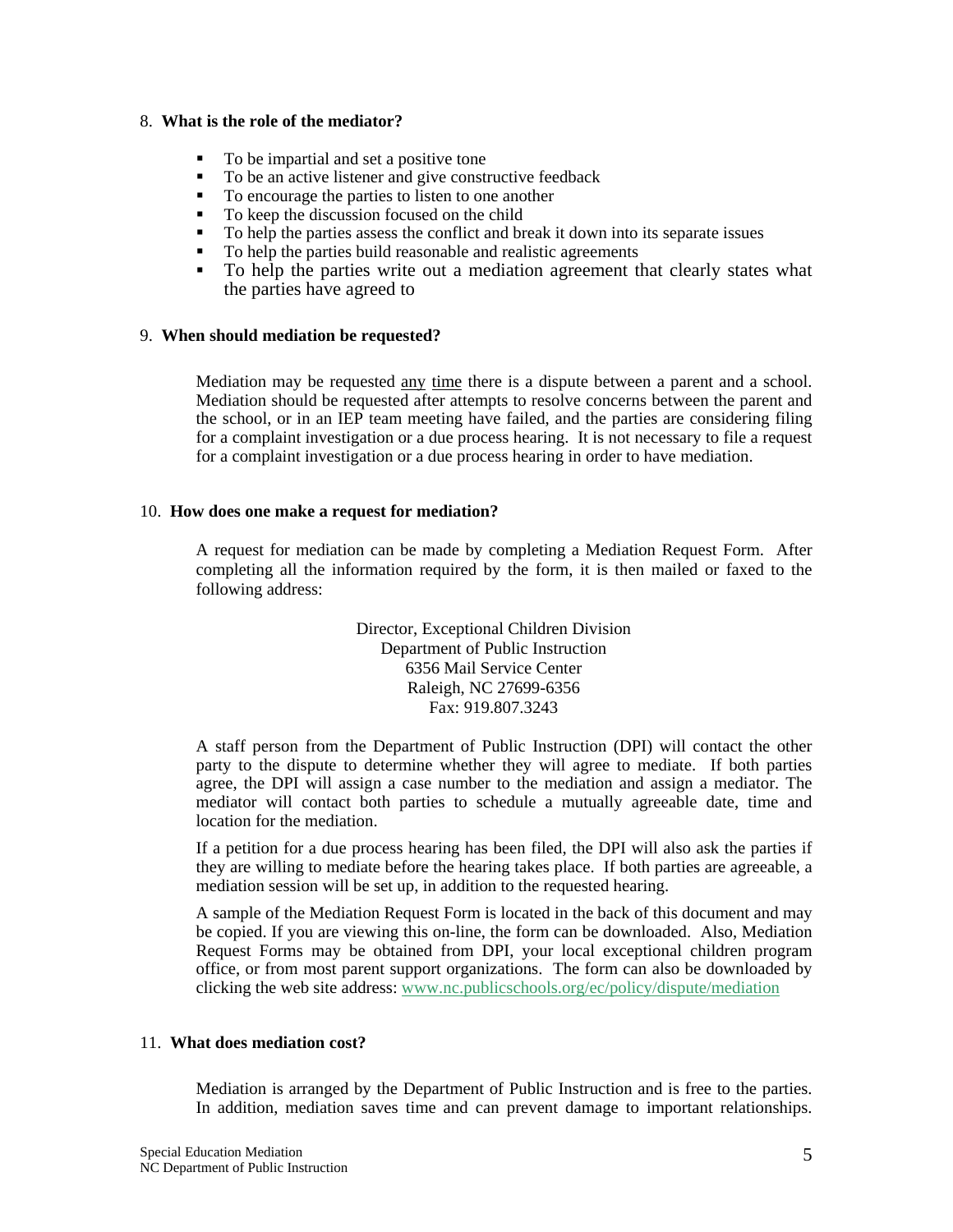#### 8. **What is the role of the mediator?**

- To be impartial and set a positive tone
- To be an active listener and give constructive feedback
- To encourage the parties to listen to one another
- To keep the discussion focused on the child
- To help the parties assess the conflict and break it down into its separate issues
- To help the parties build reasonable and realistic agreements<br>■ To help the parties write out a mediation agreement the
- To help the parties write out a mediation agreement that clearly states what the parties have agreed to

#### 9. **When should mediation be requested?**

Mediation may be requested any time there is a dispute between a parent and a school. Mediation should be requested after attempts to resolve concerns between the parent and the school, or in an IEP team meeting have failed, and the parties are considering filing for a complaint investigation or a due process hearing. It is not necessary to file a request for a complaint investigation or a due process hearing in order to have mediation.

#### 10. **How does one make a request for mediation?**

A request for mediation can be made by completing a Mediation Request Form. After completing all the information required by the form, it is then mailed or faxed to the following address:

> Director, Exceptional Children Division Department of Public Instruction 6356 Mail Service Center Raleigh, NC 27699-6356 Fax: 919.807.3243

A staff person from the Department of Public Instruction (DPI) will contact the other party to the dispute to determine whether they will agree to mediate. If both parties agree, the DPI will assign a case number to the mediation and assign a mediator. The mediator will contact both parties to schedule a mutually agreeable date, time and location for the mediation.

If a petition for a due process hearing has been filed, the DPI will also ask the parties if they are willing to mediate before the hearing takes place. If both parties are agreeable, a mediation session will be set up, in addition to the requested hearing.

A sample of the Mediation Request Form is located in the back of this document and may be copied. If you are viewing this on-line, the form can be downloaded. Also, Mediation Request Forms may be obtained from DPI, your local exceptional children program office, or from most parent support organizations. The form can also be downloaded by clicking the web site address: www.nc.publicschools.org/ec/policy/dispute/mediation

# 11. **What does mediation cost?**

Mediation is arranged by the Department of Public Instruction and is free to the parties. In addition, mediation saves time and can prevent damage to important relationships.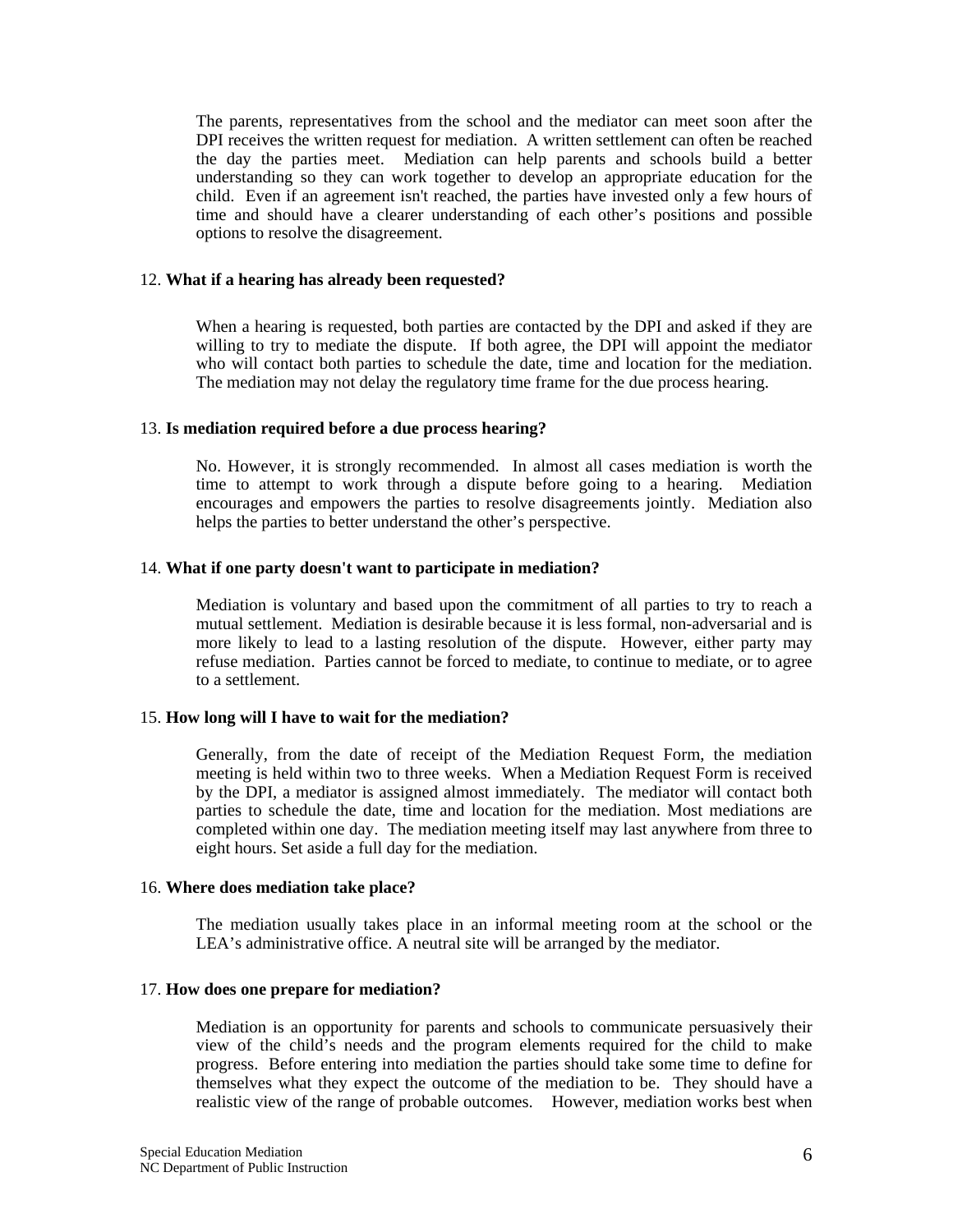The parents, representatives from the school and the mediator can meet soon after the DPI receives the written request for mediation. A written settlement can often be reached the day the parties meet. Mediation can help parents and schools build a better understanding so they can work together to develop an appropriate education for the child. Even if an agreement isn't reached, the parties have invested only a few hours of time and should have a clearer understanding of each other's positions and possible options to resolve the disagreement.

#### 12. **What if a hearing has already been requested?**

When a hearing is requested, both parties are contacted by the DPI and asked if they are willing to try to mediate the dispute. If both agree, the DPI will appoint the mediator who will contact both parties to schedule the date, time and location for the mediation. The mediation may not delay the regulatory time frame for the due process hearing.

### 13. **Is mediation required before a due process hearing?**

No. However, it is strongly recommended. In almost all cases mediation is worth the time to attempt to work through a dispute before going to a hearing. Mediation encourages and empowers the parties to resolve disagreements jointly. Mediation also helps the parties to better understand the other's perspective.

#### 14. **What if one party doesn't want to participate in mediation?**

Mediation is voluntary and based upon the commitment of all parties to try to reach a mutual settlement. Mediation is desirable because it is less formal, non-adversarial and is more likely to lead to a lasting resolution of the dispute. However, either party may refuse mediation. Parties cannot be forced to mediate, to continue to mediate, or to agree to a settlement.

#### 15. **How long will I have to wait for the mediation?**

Generally, from the date of receipt of the Mediation Request Form, the mediation meeting is held within two to three weeks. When a Mediation Request Form is received by the DPI, a mediator is assigned almost immediately. The mediator will contact both parties to schedule the date, time and location for the mediation. Most mediations are completed within one day. The mediation meeting itself may last anywhere from three to eight hours. Set aside a full day for the mediation.

#### 16. **Where does mediation take place?**

The mediation usually takes place in an informal meeting room at the school or the LEA's administrative office. A neutral site will be arranged by the mediator.

#### 17. **How does one prepare for mediation?**

Mediation is an opportunity for parents and schools to communicate persuasively their view of the child's needs and the program elements required for the child to make progress. Before entering into mediation the parties should take some time to define for themselves what they expect the outcome of the mediation to be. They should have a realistic view of the range of probable outcomes. However, mediation works best when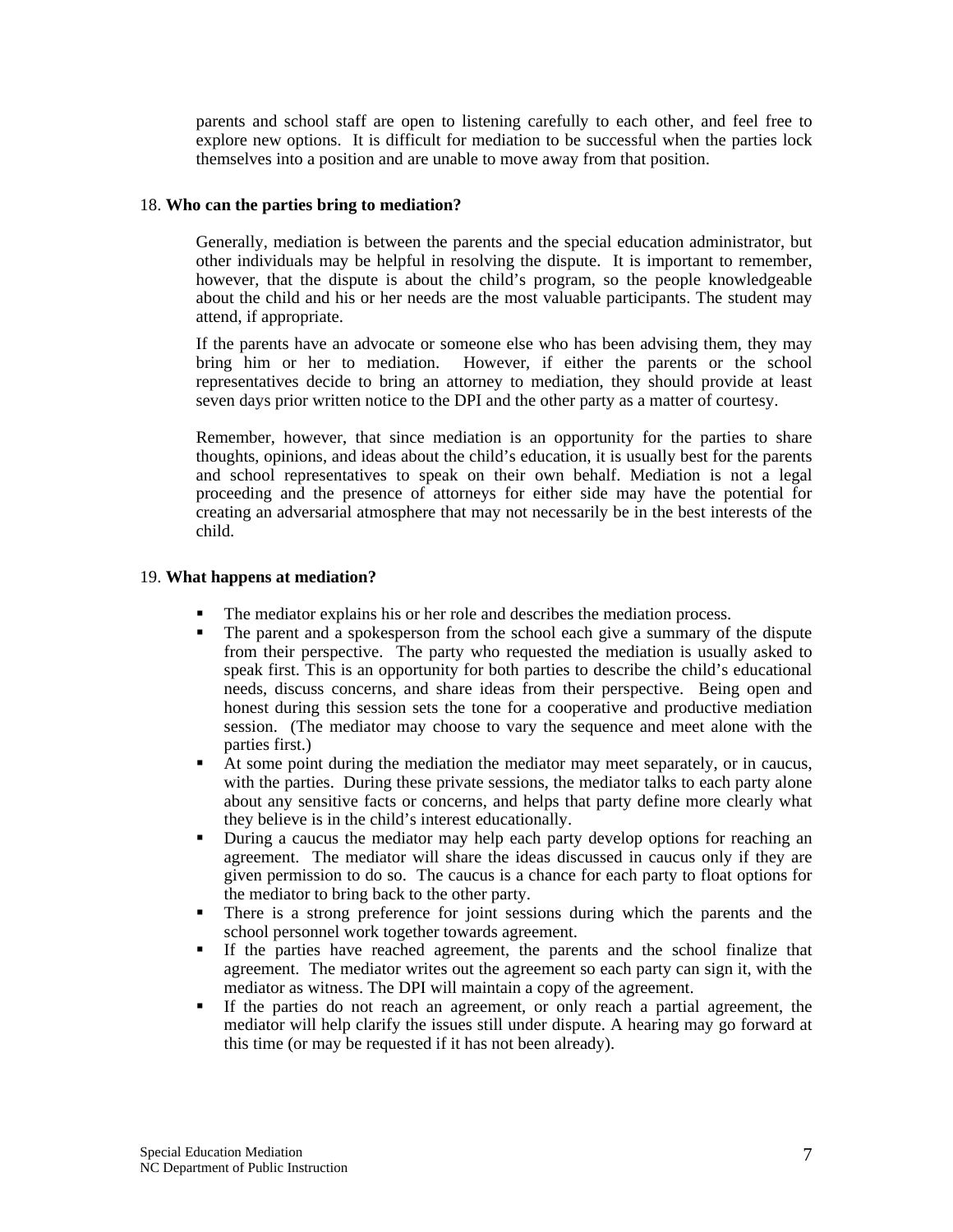parents and school staff are open to listening carefully to each other, and feel free to explore new options. It is difficult for mediation to be successful when the parties lock themselves into a position and are unable to move away from that position.

#### 18. **Who can the parties bring to mediation?**

Generally, mediation is between the parents and the special education administrator, but other individuals may be helpful in resolving the dispute. It is important to remember, however, that the dispute is about the child's program, so the people knowledgeable about the child and his or her needs are the most valuable participants. The student may attend, if appropriate.

If the parents have an advocate or someone else who has been advising them, they may bring him or her to mediation. However, if either the parents or the school representatives decide to bring an attorney to mediation, they should provide at least seven days prior written notice to the DPI and the other party as a matter of courtesy.

Remember, however, that since mediation is an opportunity for the parties to share thoughts, opinions, and ideas about the child's education, it is usually best for the parents and school representatives to speak on their own behalf. Mediation is not a legal proceeding and the presence of attorneys for either side may have the potential for creating an adversarial atmosphere that may not necessarily be in the best interests of the child.

#### 19. **What happens at mediation?**

- The mediator explains his or her role and describes the mediation process.
- $\blacksquare$  The parent and a spokesperson from the school each give a summary of the dispute from their perspective. The party who requested the mediation is usually asked to speak first. This is an opportunity for both parties to describe the child's educational needs, discuss concerns, and share ideas from their perspective. Being open and honest during this session sets the tone for a cooperative and productive mediation session. (The mediator may choose to vary the sequence and meet alone with the parties first.)
- At some point during the mediation the mediator may meet separately, or in caucus, with the parties. During these private sessions, the mediator talks to each party alone about any sensitive facts or concerns, and helps that party define more clearly what they believe is in the child's interest educationally.
- During a caucus the mediator may help each party develop options for reaching an agreement. The mediator will share the ideas discussed in caucus only if they are given permission to do so. The caucus is a chance for each party to float options for the mediator to bring back to the other party.
- There is a strong preference for joint sessions during which the parents and the school personnel work together towards agreement.
- If the parties have reached agreement, the parents and the school finalize that agreement. The mediator writes out the agreement so each party can sign it, with the mediator as witness. The DPI will maintain a copy of the agreement.
- If the parties do not reach an agreement, or only reach a partial agreement, the mediator will help clarify the issues still under dispute. A hearing may go forward at this time (or may be requested if it has not been already).